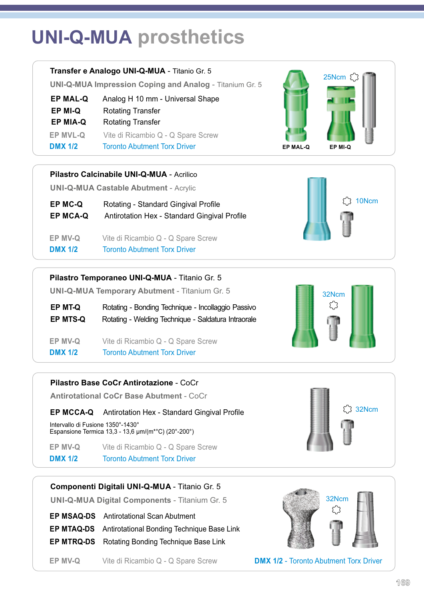# **UNI-Q-MUA prosthetics**



**Pilastro Calcinabile UNI-Q-MUA** - Acrilico

**UNI-Q-MUA Castable Abutment** - Acrylic

**EP MC-Q** Rotating - Standard Gingival Profile **EP MCA-Q** Antirotation Hex - Standard Gingival Profile

**DMX 1/2** Toronto Abutment Torx Driver **EP MV-Q** Vite di Ricambio Q - Q Spare Screw

#### **Pilastro Temporaneo UNI-Q-MUA** - Titanio Gr. 5

**UNI-Q-MUA Temporary Abutment** - Titanium Gr. 5

**EP MT-Q** Rotating - Bonding Technique - Incollaggio Passivo **EP MTS-Q** Rotating - Welding Technique - Saldatura Intraorale

**DMX 1/2 Toronto Abutment Torx Driver EP MV-Q** Vite di Ricambio Q - Q Spare Screw

### **Pilastro Base CoCr Antirotazione** - CoCr

**Antirotational CoCr Base Abutment** - CoCr

### **EP MCCA-Q** Antirotation Hex - Standard Gingival Profile

Intervallo di Fusione 1350°-1430° Espansione Termica 13,3 - 13,6 μm/(m\*°C) (20°-200°)

**DMX 1/2** Toronto Abutment Torx Driver **EP MV-Q** Vite di Ricambio Q - Q Spare Screw

### **Componenti Digitali UNI-Q-MUA** - Titanio Gr. 5

**UNI-Q-MUA Digital Components** - Titanium Gr. 5

**EP MSAQ-DS** Antirotational Scan Abutment

**EP MTAQ-DS** Antirotational Bonding Technique Base Link

**EP MTRQ-DS** Rotating Bonding Technique Base Link

**EP MV-Q** Vite di Ricambio Q - Q Spare Screw **DMX 1/2** - Toronto Abutment Torx Driver